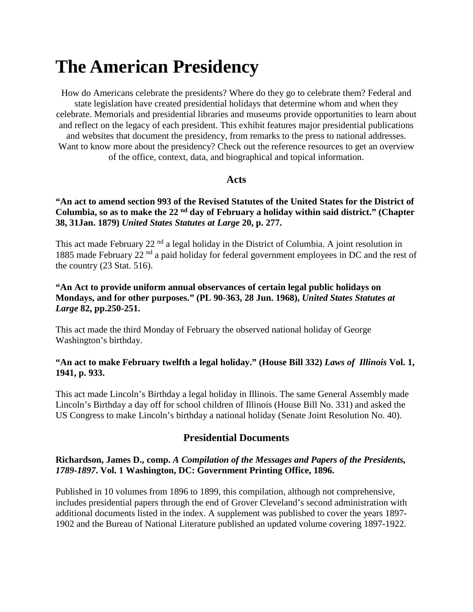# **The American Presidency**

How do Americans celebrate the presidents? Where do they go to celebrate them? Federal and state legislation have created presidential holidays that determine whom and when they celebrate. Memorials and presidential libraries and museums provide opportunities to learn about and reflect on the legacy of each president. This exhibit features major presidential publications and websites that document the presidency, from remarks to the press to national addresses. Want to know more about the presidency? Check out the reference resources to get an overview of the office, context, data, and biographical and topical information.

## **Acts**

## **"An act to amend section 993 of the Revised Statutes of the United States for the District of Columbia, so as to make the 22 nd day of February a holiday within said district." (Chapter 38, 31Jan. 1879)** *United States Statutes at Large* **20, p. 277.**

This act made February 22<sup>nd</sup> a legal holiday in the District of Columbia. A joint resolution in 1885 made February 22<sup>nd</sup> a paid holiday for federal government employees in DC and the rest of the country (23 Stat. 516).

## **"An Act to provide uniform annual observances of certain legal public holidays on Mondays, and for other purposes." (PL 90-363, 28 Jun. 1968),** *United States Statutes at Large* **82, pp.250-251.**

This act made the third Monday of February the observed national holiday of George Washington's birthday.

## **"An act to make February twelfth a legal holiday." (House Bill 332)** *Laws of Illinois* **Vol. 1, 1941, p. 933.**

This act made Lincoln's Birthday a legal holiday in Illinois. The same General Assembly made Lincoln's Birthday a day off for school children of Illinois (House Bill No. 331) and asked the US Congress to make Lincoln's birthday a national holiday (Senate Joint Resolution No. 40).

# **Presidential Documents**

## **Richardson, James D., comp.** *A Compilation of the Messages and Papers of the Presidents, 1789-1897***. Vol. 1 Washington, DC: Government Printing Office, 1896.**

Published in 10 volumes from 1896 to 1899, this compilation, although not comprehensive, includes presidential papers through the end of Grover Cleveland's second administration with additional documents listed in the index. A supplement was published to cover the years 1897- 1902 and the Bureau of National Literature published an updated volume covering 1897-1922.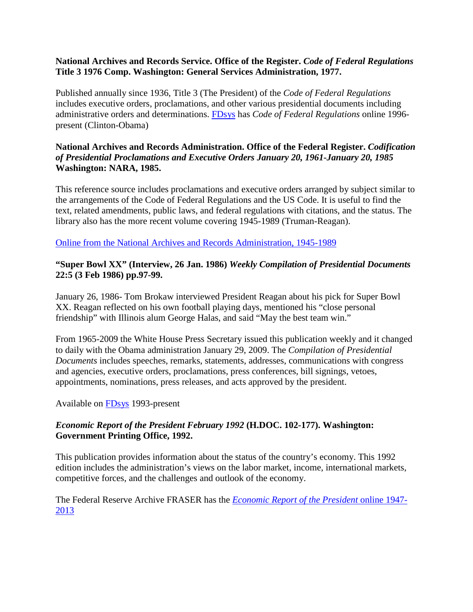## **National Archives and Records Service. Office of the Register.** *Code of Federal Regulations* **Title 3 1976 Comp. Washington: General Services Administration, 1977.**

Published annually since 1936, Title 3 (The President) of the *Code of Federal Regulations* includes executive orders, proclamations, and other various presidential documents including administrative orders and determinations. [FDsys](http://www.fdsys.gov/) has *Code of Federal Regulations* online 1996 present (Clinton-Obama)

## **National Archives and Records Administration. Office of the Federal Register.** *Codification of Presidential Proclamations and Executive Orders January 20, 1961-January 20, 1985* **Washington: NARA, 1985.**

This reference source includes proclamations and executive orders arranged by subject similar to the arrangements of the Code of Federal Regulations and the US Code. It is useful to find the text, related amendments, public laws, and federal regulations with citations, and the status. The library also has the more recent volume covering 1945-1989 (Truman-Reagan).

[Online from the National Archives and Records](http://www.archives.gov/federal-register/codification/) Administration, 1945-1989

## **"Super Bowl XX" (Interview, 26 Jan. 1986)** *Weekly Compilation of Presidential Documents* **22:5 (3 Feb 1986) pp.97-99.**

January 26, 1986- Tom Brokaw interviewed President Reagan about his pick for Super Bowl XX. Reagan reflected on his own football playing days, mentioned his "close personal friendship" with Illinois alum George Halas, and said "May the best team win."

From 1965-2009 the White House Press Secretary issued this publication weekly and it changed to daily with the Obama administration January 29, 2009. The *Compilation of Presidential Documents* includes speeches, remarks, statements, addresses, communications with congress and agencies, executive orders, proclamations, press conferences, bill signings, vetoes, appointments, nominations, press releases, and acts approved by the president.

Available on [FDsys](http://www.gpo.gov/fdsys/browse/collection.action?collectionCode=CPD) 1993-present

## *Economic Report of the President February 1992* **(H.DOC. 102-177). Washington: Government Printing Office, 1992.**

This publication provides information about the status of the country's economy. This 1992 edition includes the administration's views on the labor market, income, international markets, competitive forces, and the challenges and outlook of the economy.

The Federal Reserve Archive FRASER has the *[Economic Report of the President](http://fraser.stlouisfed.org/publication/?pid=45)* online 1947- [2013](http://fraser.stlouisfed.org/publication/?pid=45)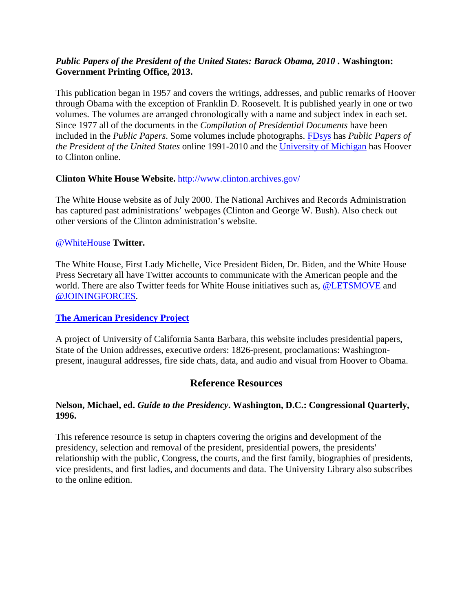## *Public Papers of the President of the United States: Barack Obama, 2010* **. Washington: Government Printing Office, 2013.**

This publication began in 1957 and covers the writings, addresses, and public remarks of Hoover through Obama with the exception of Franklin D. Roosevelt. It is published yearly in one or two volumes. The volumes are arranged chronologically with a name and subject index in each set. Since 1977 all of the documents in the *Compilation of Presidential Documents* have been included in the *Public Papers*. Some volumes include photographs. [FDsys](http://www.gpo.gov/fdsys/browse/collection.action?collectionCode=PPP) has *Public Papers of the President of the United States* online 1991-2010 and the [University of Michigan](http://quod.lib.umich.edu/p/ppotpus/) has Hoover to Clinton online.

## **Clinton White House Website.** <http://www.clinton.archives.gov/>

The White House website as of July 2000. The National Archives and Records Administration has captured past administrations' webpages (Clinton and George W. Bush). Also check out other versions of the Clinton administration's website.

#### [@WhiteHouse](https://twitter.com/whitehouse) **Twitter.**

The White House, First Lady Michelle, Vice President Biden, Dr. Biden, and the White House Press Secretary all have Twitter accounts to communicate with the American people and the world. There are also Twitter feeds for White House initiatives such as, [@LETSMOVE](https://twitter.com/letsmove) and [@JOININGFORCES.](https://twitter.com/JoiningForces)

#### **[The American Presidency Project](http://www.presidency.ucsb.edu/)**

A project of University of California Santa Barbara, this website includes presidential papers, State of the Union addresses, executive orders: 1826-present, proclamations: Washingtonpresent, inaugural addresses, fire side chats, data, and audio and visual from Hoover to Obama.

## **Reference Resources**

#### **Nelson, Michael, ed.** *Guide to the Presidency***. Washington, D.C.: Congressional Quarterly, 1996.**

This reference resource is setup in chapters covering the origins and development of the presidency, selection and removal of the president, presidential powers, the presidents' relationship with the public, Congress, the courts, and the first family, biographies of presidents, vice presidents, and first ladies, and documents and data. The University Library also subscribes to the online edition.